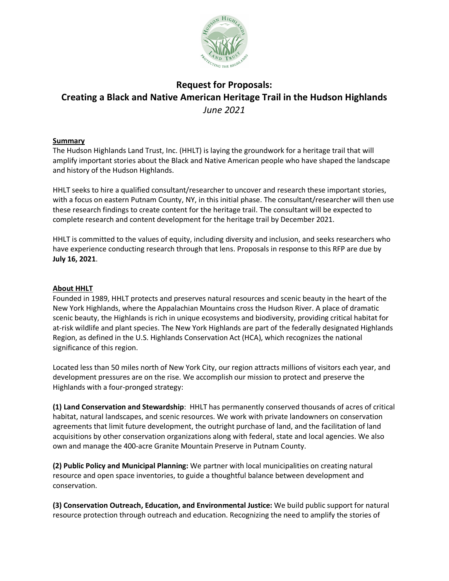

# **Request for Proposals: Creating a Black and Native American Heritage Trail in the Hudson Highlands** *June 2021*

#### **Summary**

The Hudson Highlands Land Trust, Inc. (HHLT) is laying the groundwork for a heritage trail that will amplify important stories about the Black and Native American people who have shaped the landscape and history of the Hudson Highlands.

HHLT seeks to hire a qualified consultant/researcher to uncover and research these important stories, with a focus on eastern Putnam County, NY, in this initial phase. The consultant/researcher will then use these research findings to create content for the heritage trail. The consultant will be expected to complete research and content development for the heritage trail by December 2021.

HHLT is committed to the values of equity, including diversity and inclusion, and seeks researchers who have experience conducting research through that lens. Proposals in response to this RFP are due by **July 16, 2021**.

#### **About HHLT**

Founded in 1989, HHLT protects and preserves natural resources and scenic beauty in the heart of the New York Highlands, where the Appalachian Mountains cross the Hudson River. A place of dramatic scenic beauty, the Highlands is rich in unique ecosystems and biodiversity, providing critical habitat for at-risk wildlife and plant species. The New York Highlands are part of the federally designated Highlands Region, as defined in the U.S. Highlands Conservation Act (HCA), which recognizes the national significance of this region.

Located less than 50 miles north of New York City, our region attracts millions of visitors each year, and development pressures are on the rise. We accomplish our mission to protect and preserve the Highlands with a four-pronged strategy:

**(1) Land Conservation and Stewardship**: HHLT has permanently conserved thousands of acres of critical habitat, natural landscapes, and scenic resources. We work with private landowners on conservation agreements that limit future development, the outright purchase of land, and the facilitation of land acquisitions by other conservation organizations along with federal, state and local agencies. We also own and manage the 400-acre Granite Mountain Preserve in Putnam County.

**(2) Public Policy and Municipal Planning:** We partner with local municipalities on creating natural resource and open space inventories, to guide a thoughtful balance between development and conservation.

**(3) Conservation Outreach, Education, and Environmental Justice:** We build public support for natural resource protection through outreach and education. Recognizing the need to amplify the stories of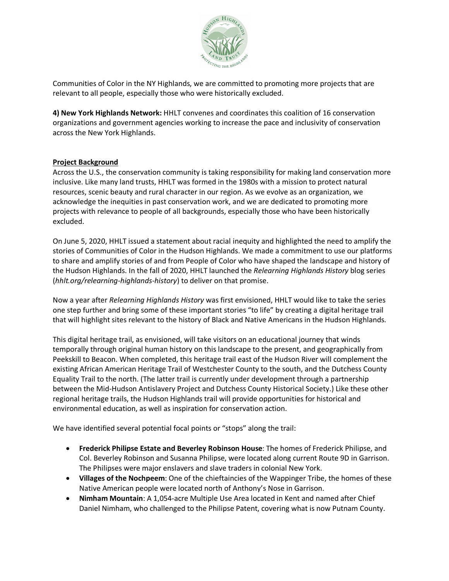

Communities of Color in the NY Highlands, we are committed to promoting more projects that are relevant to all people, especially those who were historically excluded.

**4) New York Highlands Network:** HHLT convenes and coordinates this coalition of 16 conservation organizations and government agencies working to increase the pace and inclusivity of conservation across the New York Highlands.

# **Project Background**

Across the U.S., the conservation community is taking responsibility for making land conservation more inclusive. Like many land trusts, HHLT was formed in the 1980s with a mission to protect natural resources, scenic beauty and rural character in our region. As we evolve as an organization, we acknowledge the inequities in past conservation work, and we are dedicated to promoting more projects with relevance to people of all backgrounds, especially those who have been historically excluded.

On June 5, 2020, HHLT issued a statement about racial inequity and highlighted the need to amplify the stories of Communities of Color in the Hudson Highlands. We made a commitment to use our platforms to share and amplify stories of and from People of Color who have shaped the landscape and history of the Hudson Highlands. In the fall of 2020, HHLT launched the *Relearning Highlands History* blog series (*hhlt.org/relearning-highlands-history*) to deliver on that promise.

Now a year after *Relearning Highlands History* was first envisioned, HHLT would like to take the series one step further and bring some of these important stories "to life" by creating a digital heritage trail that will highlight sites relevant to the history of Black and Native Americans in the Hudson Highlands.

This digital heritage trail, as envisioned, will take visitors on an educational journey that winds temporally through original human history on this landscape to the present, and geographically from Peekskill to Beacon. When completed, this heritage trail east of the Hudson River will complement the existing African American Heritage Trail of Westchester County to the south, and the Dutchess County Equality Trail to the north. (The latter trail is currently under development through a partnership between the Mid-Hudson Antislavery Project and Dutchess County Historical Society.) Like these other regional heritage trails, the Hudson Highlands trail will provide opportunities for historical and environmental education, as well as inspiration for conservation action.

We have identified several potential focal points or "stops" along the trail:

- **Frederick Philipse Estate and Beverley Robinson House**: The homes of Frederick Philipse, and Col. Beverley Robinson and Susanna Philipse, were located along current Route 9D in Garrison. The Philipses were major enslavers and slave traders in colonial New York.
- **Villages of the Nochpeem**: One of the chieftaincies of the Wappinger Tribe, the homes of these Native American people were located north of Anthony's Nose in Garrison.
- **Nimham Mountain**: A 1,054-acre Multiple Use Area located in Kent and named after Chief Daniel Nimham, who challenged to the Philipse Patent, covering what is now Putnam County.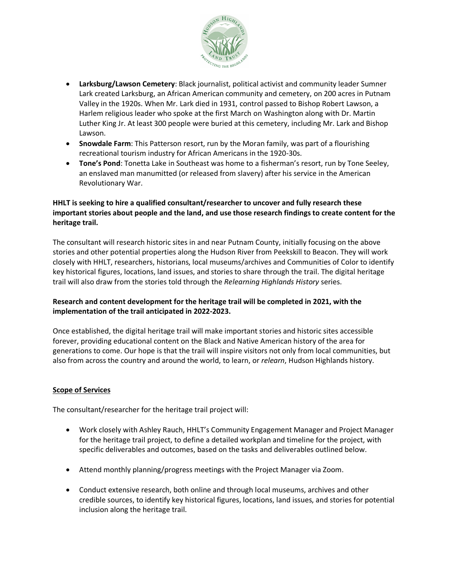

- **Larksburg/Lawson Cemetery**: Black journalist, political activist and community leader Sumner Lark created Larksburg, an African American community and cemetery, on 200 acres in Putnam Valley in the 1920s. When Mr. Lark died in 1931, control passed to Bishop Robert Lawson, a Harlem religious leader who spoke at the first March on Washington along with Dr. Martin Luther King Jr. At least 300 people were buried at this cemetery, including Mr. Lark and Bishop Lawson.
- **Snowdale Farm**: This Patterson resort, run by the Moran family, was part of a flourishing recreational tourism industry for African Americans in the 1920-30s.
- **Tone's Pond**: Tonetta Lake in Southeast was home to a fisherman's resort, run by Tone Seeley, an enslaved man manumitted (or released from slavery) after his service in the American Revolutionary War.

# **HHLT is seeking to hire a qualified consultant/researcher to uncover and fully research these important stories about people and the land, and use those research findings to create content for the heritage trail.**

The consultant will research historic sites in and near Putnam County, initially focusing on the above stories and other potential properties along the Hudson River from Peekskill to Beacon. They will work closely with HHLT, researchers, historians, local museums/archives and Communities of Color to identify key historical figures, locations, land issues, and stories to share through the trail. The digital heritage trail will also draw from the stories told through the *Relearning Highlands History* series.

# **Research and content development for the heritage trail will be completed in 2021, with the implementation of the trail anticipated in 2022-2023.**

Once established, the digital heritage trail will make important stories and historic sites accessible forever, providing educational content on the Black and Native American history of the area for generations to come. Our hope is that the trail will inspire visitors not only from local communities, but also from across the country and around the world, to learn, or *relearn*, Hudson Highlands history.

# **Scope of Services**

The consultant/researcher for the heritage trail project will:

- Work closely with Ashley Rauch, HHLT's Community Engagement Manager and Project Manager for the heritage trail project, to define a detailed workplan and timeline for the project, with specific deliverables and outcomes, based on the tasks and deliverables outlined below.
- Attend monthly planning/progress meetings with the Project Manager via Zoom.
- Conduct extensive research, both online and through local museums, archives and other credible sources, to identify key historical figures, locations, land issues, and stories for potential inclusion along the heritage trail.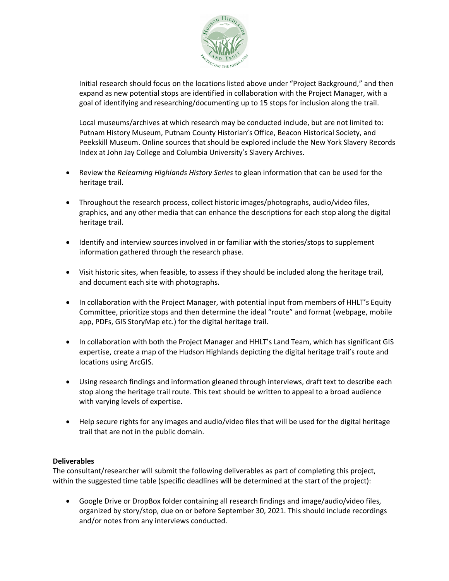

Initial research should focus on the locations listed above under "Project Background," and then expand as new potential stops are identified in collaboration with the Project Manager, with a goal of identifying and researching/documenting up to 15 stops for inclusion along the trail.

Local museums/archives at which research may be conducted include, but are not limited to: Putnam History Museum, Putnam County Historian's Office, Beacon Historical Society, and Peekskill Museum. Online sources that should be explored include the New York Slavery Records Index at John Jay College and Columbia University's Slavery Archives.

- Review the *Relearning Highlands History Series* to glean information that can be used for the heritage trail.
- Throughout the research process, collect historic images/photographs, audio/video files, graphics, and any other media that can enhance the descriptions for each stop along the digital heritage trail.
- Identify and interview sources involved in or familiar with the stories/stops to supplement information gathered through the research phase.
- Visit historic sites, when feasible, to assess if they should be included along the heritage trail, and document each site with photographs.
- In collaboration with the Project Manager, with potential input from members of HHLT's Equity Committee, prioritize stops and then determine the ideal "route" and format (webpage, mobile app, PDFs, GIS StoryMap etc.) for the digital heritage trail.
- In collaboration with both the Project Manager and HHLT's Land Team, which has significant GIS expertise, create a map of the Hudson Highlands depicting the digital heritage trail's route and locations using ArcGIS.
- Using research findings and information gleaned through interviews, draft text to describe each stop along the heritage trail route. This text should be written to appeal to a broad audience with varying levels of expertise.
- Help secure rights for any images and audio/video files that will be used for the digital heritage trail that are not in the public domain.

# **Deliverables**

The consultant/researcher will submit the following deliverables as part of completing this project, within the suggested time table (specific deadlines will be determined at the start of the project):

• Google Drive or DropBox folder containing all research findings and image/audio/video files, organized by story/stop, due on or before September 30, 2021. This should include recordings and/or notes from any interviews conducted.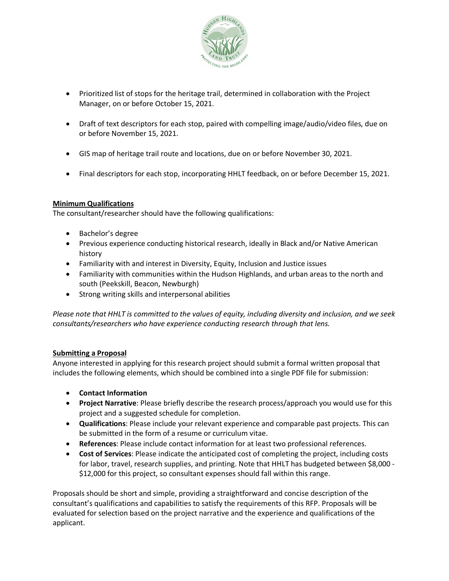

- Prioritized list of stops for the heritage trail, determined in collaboration with the Project Manager, on or before October 15, 2021.
- Draft of text descriptors for each stop, paired with compelling image/audio/video files, due on or before November 15, 2021.
- GIS map of heritage trail route and locations, due on or before November 30, 2021.
- Final descriptors for each stop, incorporating HHLT feedback, on or before December 15, 2021.

# **Minimum Qualifications**

The consultant/researcher should have the following qualifications:

- Bachelor's degree
- Previous experience conducting historical research, ideally in Black and/or Native American history
- Familiarity with and interest in Diversity, Equity, Inclusion and Justice issues
- Familiarity with communities within the Hudson Highlands, and urban areas to the north and south (Peekskill, Beacon, Newburgh)
- Strong writing skills and interpersonal abilities

*Please note that HHLT is committed to the values of equity, including diversity and inclusion, and we seek consultants/researchers who have experience conducting research through that lens.*

#### **Submitting a Proposal**

Anyone interested in applying for this research project should submit a formal written proposal that includes the following elements, which should be combined into a single PDF file for submission:

- **Contact Information**
- **Project Narrative**: Please briefly describe the research process/approach you would use for this project and a suggested schedule for completion.
- **Qualifications**: Please include your relevant experience and comparable past projects. This can be submitted in the form of a resume or curriculum vitae.
- **References**: Please include contact information for at least two professional references.
- **Cost of Services**: Please indicate the anticipated cost of completing the project, including costs for labor, travel, research supplies, and printing. Note that HHLT has budgeted between \$8,000 - \$12,000 for this project, so consultant expenses should fall within this range.

Proposals should be short and simple, providing a straightforward and concise description of the consultant's qualifications and capabilities to satisfy the requirements of this RFP. Proposals will be evaluated for selection based on the project narrative and the experience and qualifications of the applicant.